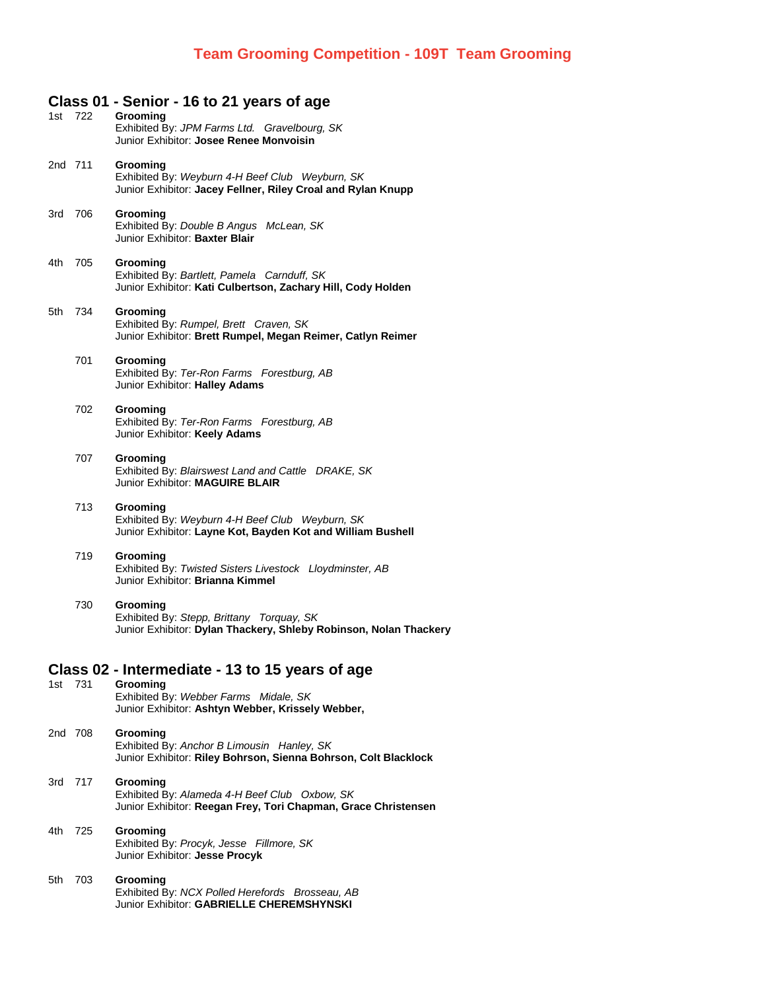## **Class 01 - Senior - 16 to 21 years of age**

|                                                 | 1st 722 |         | Grooming<br>Exhibited By: JPM Farms Ltd. Gravelbourg, SK<br>Junior Exhibitor: Josee Renee Monvoisin                         |  |  |  |
|-------------------------------------------------|---------|---------|-----------------------------------------------------------------------------------------------------------------------------|--|--|--|
|                                                 | 2nd 711 |         | Grooming<br>Exhibited By: Weyburn 4-H Beef Club Weyburn, SK<br>Junior Exhibitor: Jacey Fellner, Riley Croal and Rylan Knupp |  |  |  |
|                                                 | 3rd 706 |         | Grooming<br>Exhibited By: Double B Angus McLean, SK<br>Junior Exhibitor: Baxter Blair                                       |  |  |  |
|                                                 | 4th 705 |         | Grooming<br>Exhibited By: Bartlett, Pamela Carnduff, SK<br>Junior Exhibitor: Kati Culbertson, Zachary Hill, Cody Holden     |  |  |  |
|                                                 |         | 5th 734 | Grooming<br>Exhibited By: Rumpel, Brett Craven, SK<br>Junior Exhibitor: Brett Rumpel, Megan Reimer, Catlyn Reimer           |  |  |  |
|                                                 |         | 701     | Grooming<br>Exhibited By: Ter-Ron Farms Forestburg, AB<br>Junior Exhibitor: Halley Adams                                    |  |  |  |
|                                                 |         | 702     | Grooming<br>Exhibited By: Ter-Ron Farms Forestburg, AB<br>Junior Exhibitor: Keely Adams                                     |  |  |  |
|                                                 |         | 707     | Grooming<br>Exhibited By: Blairswest Land and Cattle DRAKE, SK<br>Junior Exhibitor: MAGUIRE BLAIR                           |  |  |  |
|                                                 |         | 713     | Grooming<br>Exhibited By: Weyburn 4-H Beef Club Weyburn, SK<br>Junior Exhibitor: Layne Kot, Bayden Kot and William Bushell  |  |  |  |
|                                                 |         | 719     | Grooming<br>Exhibited By: Twisted Sisters Livestock Lloydminster, AB<br>Junior Exhibitor: Brianna Kimmel                    |  |  |  |
|                                                 |         | 730     | Grooming<br>Exhibited By: Stepp, Brittany Torquay, SK<br>Junior Exhibitor: Dylan Thackery, Shleby Robinson, Nolan Thackery  |  |  |  |
| Class 02 - Intermediate - 13 to 15 years of age |         |         |                                                                                                                             |  |  |  |
|                                                 | 1st 731 |         | Grooming<br>Exhibited By: Webber Farms Midale, SK<br>Junior Exhibitor: Ashtyn Webber, Krissely Webber,                      |  |  |  |
|                                                 | 2nd 708 |         | Grooming<br>Exhibited By: Anchor B Limousin Hanley, SK<br>Junior Exhibitor: Riley Bohrson, Sienna Bohrson, Colt Blacklock   |  |  |  |
|                                                 |         | 3rd 717 | Grooming<br>Exhibited By: Alameda 4-H Beef Club Oxbow, SK<br>Junior Exhibitor: Reegan Frey, Tori Chapman, Grace Christensen |  |  |  |
|                                                 | 4th 725 |         | Grooming<br>Exhibited By: Procyk, Jesse Fillmore, SK<br>Junior Exhibitor: Jesse Procyk                                      |  |  |  |
|                                                 | 5th     | 703     | Grooming<br>Exhibited By: NCX Polled Herefords Brosseau, AB<br>Junior Exhibitor: GABRIELLE CHEREMSHYNSKI                    |  |  |  |
|                                                 |         |         |                                                                                                                             |  |  |  |